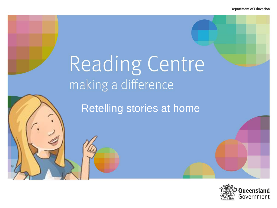# Reading Centre making a difference

Retelling stories at home

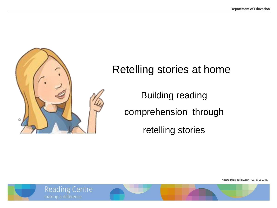

## Retelling stories at home

Building reading comprehension through retelling stories

Adapted from Tell It Again – Q1! © DoE 2017



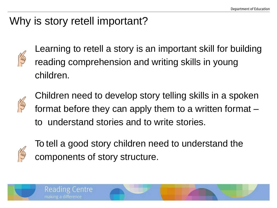## Why is story retell important?

Reading Centre

making a difference



Learning to retell a story is an important skill for building reading comprehension and writing skills in young children.



Children need to develop story telling skills in a spoken format before they can apply them to a written format – to understand stories and to write stories.



To tell a good story children need to understand the components of story structure.

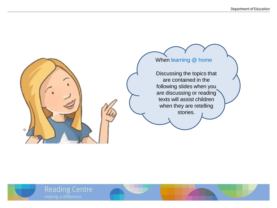



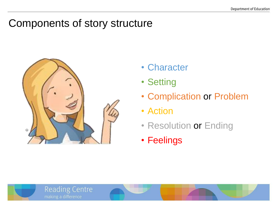### Components of story structure



**Reading Centre** 

making a difference

- Character
- Setting
- Complication or Problem
- Action
- Resolution or Ending
- Feelings

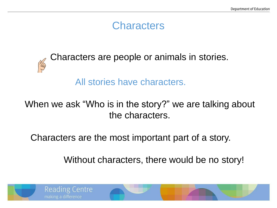### **Characters**



Characters are people or animals in stories.

All stories have characters.

#### When we ask "Who is in the story?" we are talking about the characters.

Characters are the most important part of a story.

Without characters, there would be no story!

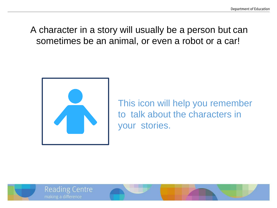A character in a story will usually be a person but can sometimes be an animal, or even a robot or a car!



**Reading Centre** 

making a difference

This icon will help you remember to talk about the characters in your stories.

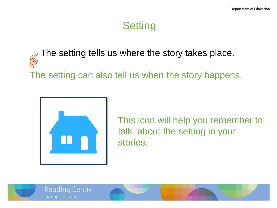## **Setting**

The setting tells us where the story takes place. Yag The setting can also tell us when the story happens.



This icon will help you remember to talk about the setting in your stories.

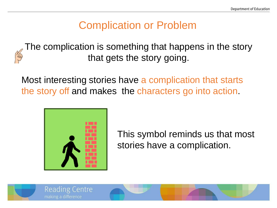## Complication or Problem

The complication is something that happens in the story that gets the story going.

Most interesting stories have a complication that starts the story off and makes the characters go into action.



**Reading Centre** 

making a difference

This symbol reminds us that most stories have a complication.

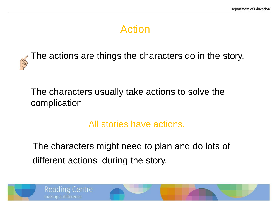## Action



The actions are things the characters do in the story.

The characters usually take actions to solve the complication.

All stories have actions.

The characters might need to plan and do lots of different actions during the story.



**Reading Centre** 

making a difference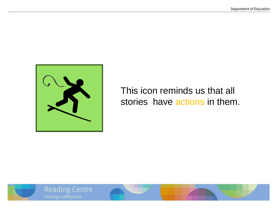

#### This icon reminds us that all stories have actions in them.



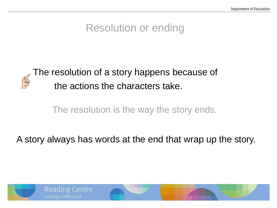## Resolution or ending



The resolution of a story happens because of the actions the characters take.

The resolution is the way the story ends.

A story always has words at the end that wrap up the story.

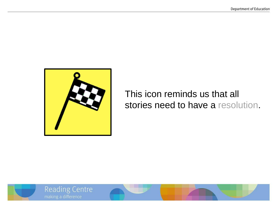

This icon reminds us that all stories need to have a resolution.



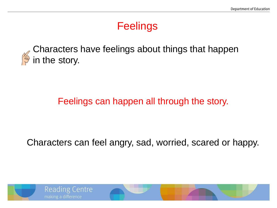## **Feelings**



Characters have feelings about things that happen in the story.

#### Feelings can happen all through the story.

Characters can feel angry, sad, worried, scared or happy.

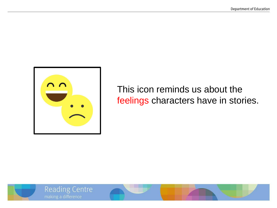

This icon reminds us about the feelings characters have in stories.



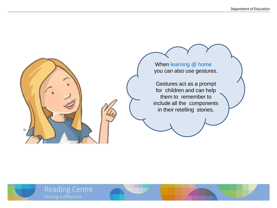**Reading Centre** 

When learning @ home you can also use gestures.

Gestures act as a prompt for children and can help them to remember to include all the components in their retelling stories.

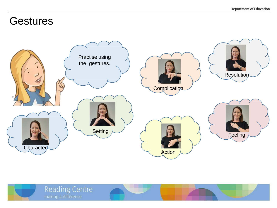#### **Gestures**



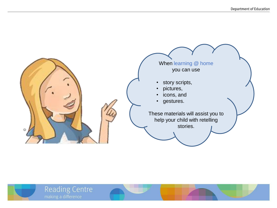

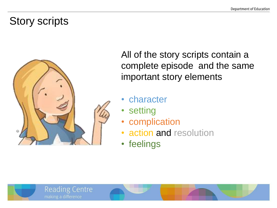## Story scripts



**Reading Centre** 

making a difference

All of the story scripts contain a complete episode and the same important story elements

- **character**
- **setting**
- complication
- action and resolution
- feelings

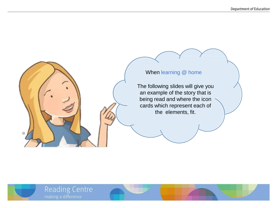#### When learning @ home The following slides will give you an example of the story that is

being read and where the icon cards which represent each of the elements, fit.



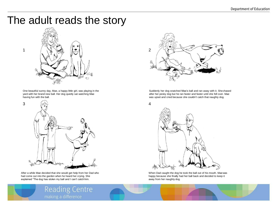#### The adult reads the story



One beautiful sunny day, Mae, a happy little girl, was playing in the yard with her brand new ball. Her dog quietly sat watching Mae having fun with the ball.



After a while Mae decided that she would get help from her Dad who had come out into the garden when he heard her crying. She explained "The dog has stolen my ball and I can't catchhim.



Suddenly her dog snatched Mae's ball and ran away with it. Shechased after her pesky dog but he ran faster and faster until she fell over. Mae was upset and cried because she couldn't catch that naughty dog.



When Dad caught the dog he took the ball out of his mouth. Maewas happy because she finally had her ball back and decided to keep it away from her naughty dog.



**Reading Centre** making a difference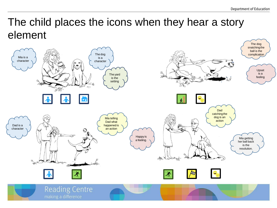## The child places the icons when they hear a story element

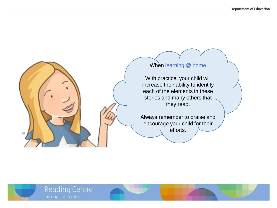

With practice, your child will increase their ability to identify each of the elements in these stories and many others that they read.

Always remember to praise and encourage your child for their efforts.